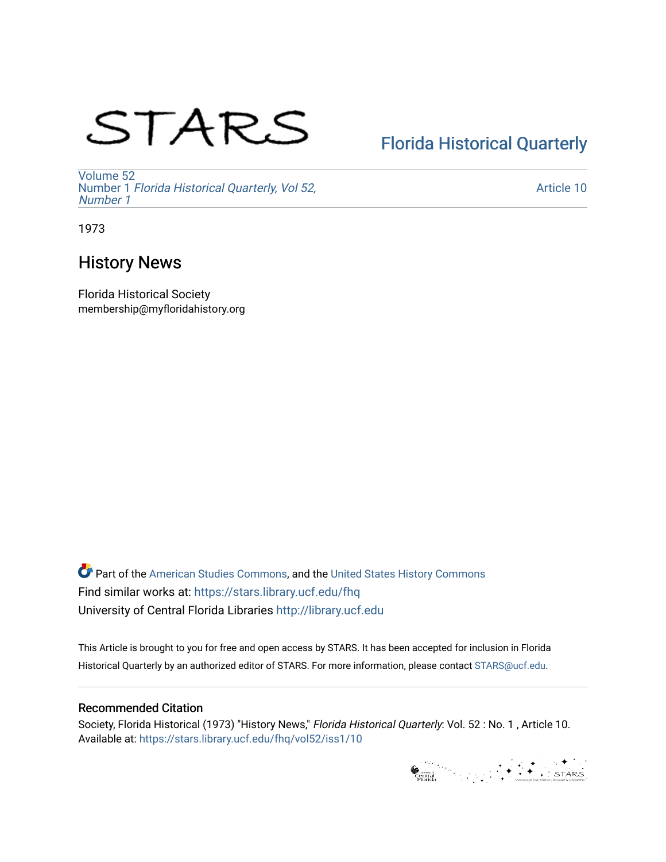# STARS

# [Florida Historical Quarterly](https://stars.library.ucf.edu/fhq)

[Volume 52](https://stars.library.ucf.edu/fhq/vol52) Number 1 [Florida Historical Quarterly, Vol 52,](https://stars.library.ucf.edu/fhq/vol52/iss1)  [Number 1](https://stars.library.ucf.edu/fhq/vol52/iss1)

[Article 10](https://stars.library.ucf.edu/fhq/vol52/iss1/10) 

1973

## History News

Florida Historical Society membership@myfloridahistory.org

**C** Part of the [American Studies Commons](http://network.bepress.com/hgg/discipline/439?utm_source=stars.library.ucf.edu%2Ffhq%2Fvol52%2Fiss1%2F10&utm_medium=PDF&utm_campaign=PDFCoverPages), and the United States History Commons Find similar works at: <https://stars.library.ucf.edu/fhq> University of Central Florida Libraries [http://library.ucf.edu](http://library.ucf.edu/) 

This Article is brought to you for free and open access by STARS. It has been accepted for inclusion in Florida Historical Quarterly by an authorized editor of STARS. For more information, please contact [STARS@ucf.edu.](mailto:STARS@ucf.edu)

### Recommended Citation

Society, Florida Historical (1973) "History News," Florida Historical Quarterly: Vol. 52 : No. 1 , Article 10. Available at: [https://stars.library.ucf.edu/fhq/vol52/iss1/10](https://stars.library.ucf.edu/fhq/vol52/iss1/10?utm_source=stars.library.ucf.edu%2Ffhq%2Fvol52%2Fiss1%2F10&utm_medium=PDF&utm_campaign=PDFCoverPages)

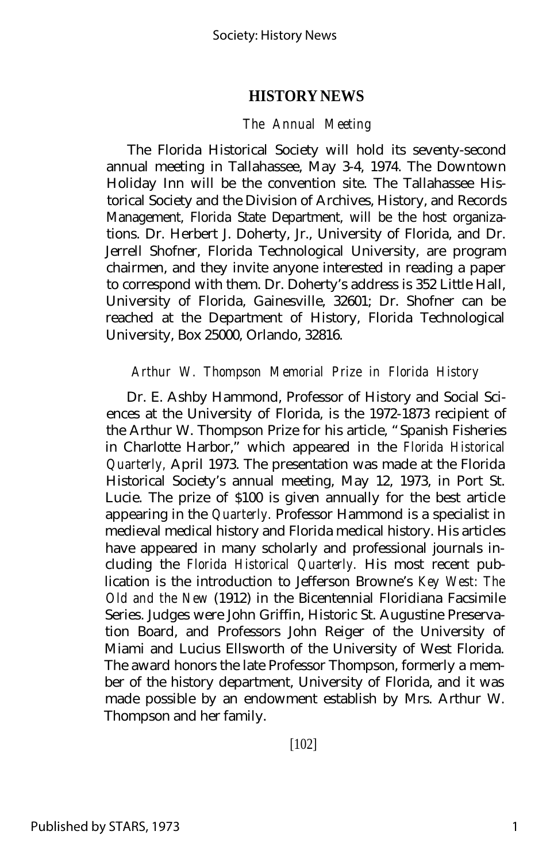#### *The Annual Meeting*

The Florida Historical Society will hold its seventy-second annual meeting in Tallahassee, May 3-4, 1974. The Downtown Holiday Inn will be the convention site. The Tallahassee Historical Society and the Division of Archives, History, and Records Management, Florida State Department, will be the host organizations. Dr. Herbert J. Doherty, Jr., University of Florida, and Dr. Jerrell Shofner, Florida Technological University, are program chairmen, and they invite anyone interested in reading a paper to correspond with them. Dr. Doherty's address is 352 Little Hall, University of Florida, Gainesville, 32601; Dr. Shofner can be reached at the Department of History, Florida Technological University, Box 25000, Orlando, 32816.

#### *Arthur W. Thompson Memorial Prize in Florida History*

Dr. E. Ashby Hammond, Professor of History and Social Sciences at the University of Florida, is the 1972-1873 recipient of the Arthur W. Thompson Prize for his article, "Spanish Fisheries in Charlotte Harbor," which appeared in the *Florida Historical Quarterly,* April 1973. The presentation was made at the Florida Historical Society's annual meeting, May 12, 1973, in Port St. Lucie. The prize of \$100 is given annually for the best article appearing in the *Quarterly.* Professor Hammond is a specialist in medieval medical history and Florida medical history. His articles have appeared in many scholarly and professional journals including the *Florida Historical Quarterly.* His most recent publication is the introduction to Jefferson Browne's *Key West: The Old and the New* (1912) in the Bicentennial Floridiana Facsimile Series. Judges were John Griffin, Historic St. Augustine Preservation Board, and Professors John Reiger of the University of Miami and Lucius Ellsworth of the University of West Florida. The award honors the late Professor Thompson, formerly a member of the history department, University of Florida, and it was made possible by an endowment establish by Mrs. Arthur W. Thompson and her family.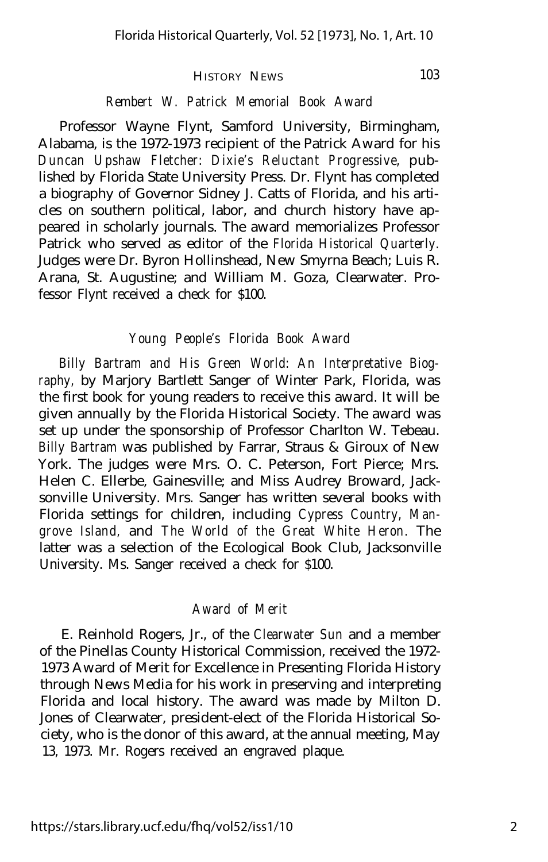#### *Rembert W. Patrick Memorial Book Award*

Professor Wayne Flynt, Samford University, Birmingham, Alabama, is the 1972-1973 recipient of the Patrick Award for his *Duncan Upshaw Fletcher: Dixie's Reluctant Progressive,* published by Florida State University Press. Dr. Flynt has completed a biography of Governor Sidney J. Catts of Florida, and his articles on southern political, labor, and church history have appeared in scholarly journals. The award memorializes Professor Patrick who served as editor of the *Florida Historical Quarterly.* Judges were Dr. Byron Hollinshead, New Smyrna Beach; Luis R. Arana, St. Augustine; and William M. Goza, Clearwater. Professor Flynt received a check for \$100.

#### *Young People's Florida Book Award*

*Billy Bartram and His Green World: An Interpretative Biography,* by Marjory Bartlett Sanger of Winter Park, Florida, was the first book for young readers to receive this award. It will be given annually by the Florida Historical Society. The award was set up under the sponsorship of Professor Charlton W. Tebeau. *Billy Bartram* was published by Farrar, Straus & Giroux of New York. The judges were Mrs. O. C. Peterson, Fort Pierce; Mrs. Helen C. Ellerbe, Gainesville; and Miss Audrey Broward, Jacksonville University. Mrs. Sanger has written several books with Florida settings for children, including *Cypress Country, Mangrove Island,* and *The World of the Great White Heron.* The latter was a selection of the Ecological Book Club, Jacksonville University. Ms. Sanger received a check for \$100.

#### *Award of Merit*

E. Reinhold Rogers, Jr., of the *Clearwater Sun* and a member of the Pinellas County Historical Commission, received the 1972- 1973 Award of Merit for Excellence in Presenting Florida History through News Media for his work in preserving and interpreting Florida and local history. The award was made by Milton D. Jones of Clearwater, president-elect of the Florida Historical Society, who is the donor of this award, at the annual meeting, May 13, 1973. Mr. Rogers received an engraved plaque.

103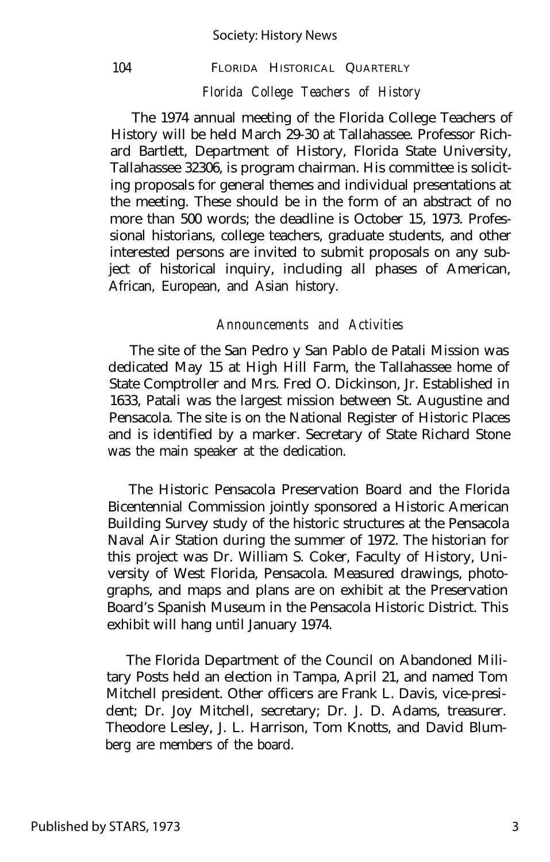## 104 FLORIDA HISTORICAL QUARTERLY *Florida College Teachers of History*

The 1974 annual meeting of the Florida College Teachers of History will be held March 29-30 at Tallahassee. Professor Richard Bartlett, Department of History, Florida State University, Tallahassee 32306, is program chairman. His committee is soliciting proposals for general themes and individual presentations at the meeting. These should be in the form of an abstract of no more than 500 words; the deadline is October 15, 1973. Professional historians, college teachers, graduate students, and other interested persons are invited to submit proposals on any subject of historical inquiry, including all phases of American, African, European, and Asian history.

#### *Announcements and Activities*

The site of the San Pedro y San Pablo de Patali Mission was dedicated May 15 at High Hill Farm, the Tallahassee home of State Comptroller and Mrs. Fred O. Dickinson, Jr. Established in 1633, Patali was the largest mission between St. Augustine and Pensacola. The site is on the National Register of Historic Places and is identified by a marker. Secretary of State Richard Stone was the main speaker at the dedication.

The Historic Pensacola Preservation Board and the Florida Bicentennial Commission jointly sponsored a Historic American Building Survey study of the historic structures at the Pensacola Naval Air Station during the summer of 1972. The historian for this project was Dr. William S. Coker, Faculty of History, University of West Florida, Pensacola. Measured drawings, photographs, and maps and plans are on exhibit at the Preservation Board's Spanish Museum in the Pensacola Historic District. This exhibit will hang until January 1974.

The Florida Department of the Council on Abandoned Military Posts held an election in Tampa, April 21, and named Tom Mitchell president. Other officers are Frank L. Davis, vice-president; Dr. Joy Mitchell, secretary; Dr. J. D. Adams, treasurer. Theodore Lesley, J. L. Harrison, Tom Knotts, and David Blumberg are members of the board.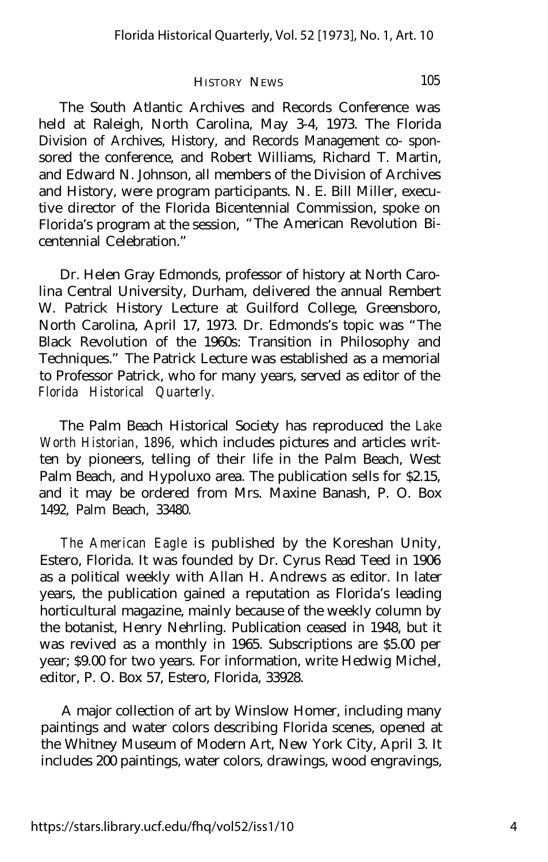The South Atlantic Archives and Records Conference was held at Raleigh, North Carolina, May 3-4, 1973. The Florida Division of Archives, History, and Records Management co- sponsored the conference, and Robert Williams, Richard T. Martin, and Edward N. Johnson, all members of the Division of Archives and History, were program participants. N. E. Bill Miller, executive director of the Florida Bicentennial Commission, spoke on Florida's program at the session, "The American Revolution Bicentennial Celebration."

Dr. Helen Gray Edmonds, professor of history at North Carolina Central University, Durham, delivered the annual Rembert W. Patrick History Lecture at Guilford College, Greensboro, North Carolina, April 17, 1973. Dr. Edmonds's topic was "The Black Revolution of the 1960s: Transition in Philosophy and Techniques." The Patrick Lecture was established as a memorial to Professor Patrick, who for many years, served as editor of the *Florida Historical Quarterly.*

The Palm Beach Historical Society has reproduced the *Lake Worth Historian, 1896,* which includes pictures and articles written by pioneers, telling of their life in the Palm Beach, West Palm Beach, and Hypoluxo area. The publication sells for \$2.15, and it may be ordered from Mrs. Maxine Banash, P. O. Box 1492, Palm Beach, 33480.

*The American Eagle* is published by the Koreshan Unity, Estero, Florida. It was founded by Dr. Cyrus Read Teed in 1906 as a political weekly with Allan H. Andrews as editor. In later years, the publication gained a reputation as Florida's leading horticultural magazine, mainly because of the weekly column by the botanist, Henry Nehrling. Publication ceased in 1948, but it was revived as a monthly in 1965. Subscriptions are \$5.00 per year; \$9.00 for two years. For information, write Hedwig Michel, editor, P. O. Box 57, Estero, Florida, 33928.

A major collection of art by Winslow Homer, including many paintings and water colors describing Florida scenes, opened at the Whitney Museum of Modern Art, New York City, April 3. It includes 200 paintings, water colors, drawings, wood engravings,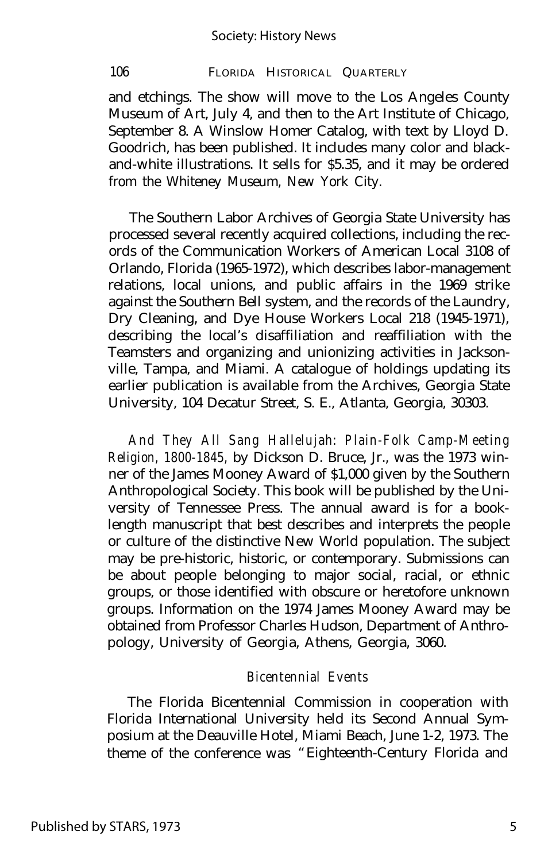and etchings. The show will move to the Los Angeles County Museum of Art, July 4, and then to the Art Institute of Chicago, September 8. A Winslow Homer Catalog, with text by Lloyd D. Goodrich, has been published. It includes many color and blackand-white illustrations. It sells for \$5.35, and it may be ordered from the Whiteney Museum, New York City.

The Southern Labor Archives of Georgia State University has processed several recently acquired collections, including the records of the Communication Workers of American Local 3108 of Orlando, Florida (1965-1972), which describes labor-management relations, local unions, and public affairs in the 1969 strike against the Southern Bell system, and the records of the Laundry, Dry Cleaning, and Dye House Workers Local 218 (1945-1971), describing the local's disaffiliation and reaffiliation with the Teamsters and organizing and unionizing activities in Jacksonville, Tampa, and Miami. A catalogue of holdings updating its earlier publication is available from the Archives, Georgia State University, 104 Decatur Street, S. E., Atlanta, Georgia, 30303.

*And They All Sang Hallelujah: Plain-Folk Camp-Meeting Religion, 1800-1845,* by Dickson D. Bruce, Jr., was the 1973 winner of the James Mooney Award of \$1,000 given by the Southern Anthropological Society. This book will be published by the University of Tennessee Press. The annual award is for a booklength manuscript that best describes and interprets the people or culture of the distinctive New World population. The subject may be pre-historic, historic, or contemporary. Submissions can be about people belonging to major social, racial, or ethnic groups, or those identified with obscure or heretofore unknown groups. Information on the 1974 James Mooney Award may be obtained from Professor Charles Hudson, Department of Anthropology, University of Georgia, Athens, Georgia, 3060.

#### *Bicentennial Events*

The Florida Bicentennial Commission in cooperation with Florida International University held its Second Annual Symposium at the Deauville Hotel, Miami Beach, June 1-2, 1973. The theme of the conference was "Eighteenth-Century Florida and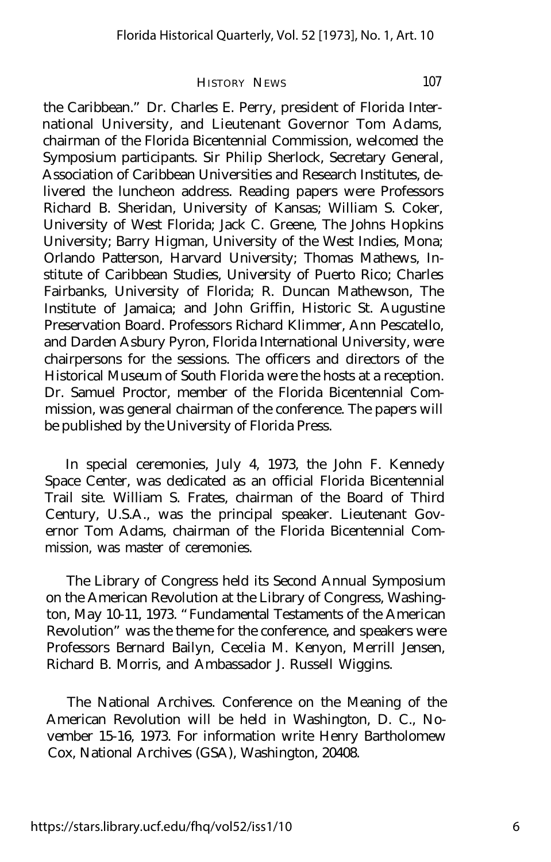the Caribbean." Dr. Charles E. Perry, president of Florida International University, and Lieutenant Governor Tom Adams, chairman of the Florida Bicentennial Commission, welcomed the Symposium participants. Sir Philip Sherlock, Secretary General, Association of Caribbean Universities and Research Institutes, delivered the luncheon address. Reading papers were Professors Richard B. Sheridan, University of Kansas; William S. Coker, University of West Florida; Jack C. Greene, The Johns Hopkins University; Barry Higman, University of the West Indies, Mona; Orlando Patterson, Harvard University; Thomas Mathews, Institute of Caribbean Studies, University of Puerto Rico; Charles Fairbanks, University of Florida; R. Duncan Mathewson, The Institute of Jamaica; and John Griffin, Historic St. Augustine Preservation Board. Professors Richard Klimmer, Ann Pescatello, and Darden Asbury Pyron, Florida International University, were chairpersons for the sessions. The officers and directors of the Historical Museum of South Florida were the hosts at a reception. Dr. Samuel Proctor, member of the Florida Bicentennial Commission, was general chairman of the conference. The papers will be published by the University of Florida Press.

In special ceremonies, July 4, 1973, the John F. Kennedy Space Center, was dedicated as an official Florida Bicentennial Trail site. William S. Frates, chairman of the Board of Third Century, U.S.A., was the principal speaker. Lieutenant Governor Tom Adams, chairman of the Florida Bicentennial Commission, was master of ceremonies.

The Library of Congress held its Second Annual Symposium on the American Revolution at the Library of Congress, Washington, May 10-11, 1973. "Fundamental Testaments of the American Revolution" was the theme for the conference, and speakers were Professors Bernard Bailyn, Cecelia M. Kenyon, Merrill Jensen, Richard B. Morris, and Ambassador J. Russell Wiggins.

The National Archives. Conference on the Meaning of the American Revolution will be held in Washington, D. C., November 15-16, 1973. For information write Henry Bartholomew Cox, National Archives (GSA), Washington, 20408.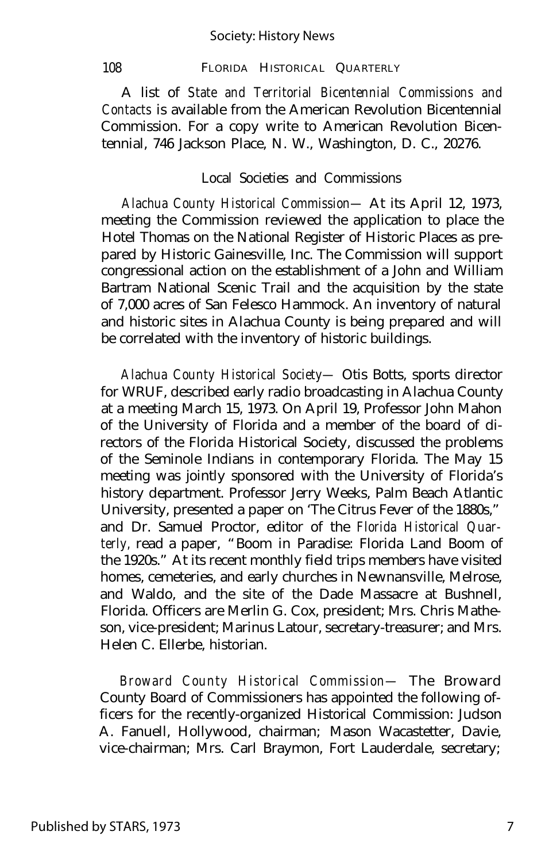A list of *State and Territorial Bicentennial Commissions and Contacts* is available from the American Revolution Bicentennial Commission. For a copy write to American Revolution Bicentennial, 746 Jackson Place, N. W., Washington, D. C., 20276.

#### Local Societies and Commissions

*Alachua County Historical Commission—* At its April 12, 1973, meeting the Commission reviewed the application to place the Hotel Thomas on the National Register of Historic Places as prepared by Historic Gainesville, Inc. The Commission will support congressional action on the establishment of a John and William Bartram National Scenic Trail and the acquisition by the state of 7,000 acres of San Felesco Hammock. An inventory of natural and historic sites in Alachua County is being prepared and will be correlated with the inventory of historic buildings.

*Alachua County Historical Society—* Otis Botts, sports director for WRUF, described early radio broadcasting in Alachua County at a meeting March 15, 1973. On April 19, Professor John Mahon of the University of Florida and a member of the board of directors of the Florida Historical Society, discussed the problems of the Seminole Indians in contemporary Florida. The May 15 meeting was jointly sponsored with the University of Florida's history department. Professor Jerry Weeks, Palm Beach Atlantic University, presented a paper on 'The Citrus Fever of the 1880s," and Dr. Samuel Proctor, editor of the *Florida Historical Quarterly,* read a paper, "Boom in Paradise: Florida Land Boom of the 1920s." At its recent monthly field trips members have visited homes, cemeteries, and early churches in Newnansville, Melrose, and Waldo, and the site of the Dade Massacre at Bushnell, Florida. Officers are Merlin G. Cox, president; Mrs. Chris Matheson, vice-president; Marinus Latour, secretary-treasurer; and Mrs. Helen C. Ellerbe, historian.

*Broward County Historical Commission—* The Broward County Board of Commissioners has appointed the following officers for the recently-organized Historical Commission: Judson A. Fanuell, Hollywood, chairman; Mason Wacastetter, Davie, vice-chairman; Mrs. Carl Braymon, Fort Lauderdale, secretary;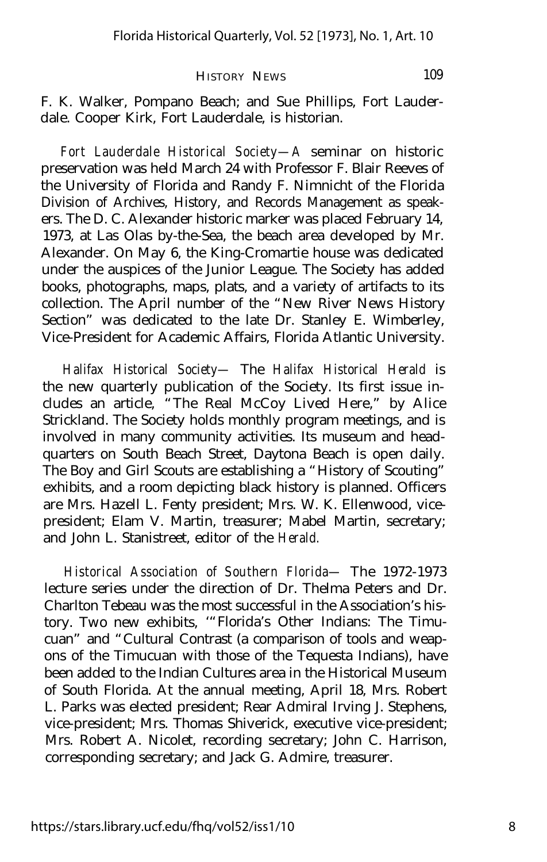F. K. Walker, Pompano Beach; and Sue Phillips, Fort Lauderdale. Cooper Kirk, Fort Lauderdale, is historian.

*Fort Lauderdale Historical Society— A* seminar on historic preservation was held March 24 with Professor F. Blair Reeves of the University of Florida and Randy F. Nimnicht of the Florida Division of Archives, History, and Records Management as speakers. The D. C. Alexander historic marker was placed February 14, 1973, at Las Olas by-the-Sea, the beach area developed by Mr. Alexander. On May 6, the King-Cromartie house was dedicated under the auspices of the Junior League. The Society has added books, photographs, maps, plats, and a variety of artifacts to its collection. The April number of the "New River News History Section" was dedicated to the late Dr. Stanley E. Wimberley, Vice-President for Academic Affairs, Florida Atlantic University.

*Halifax Historical Society—* The *Halifax Historical Herald* is the new quarterly publication of the Society. Its first issue includes an article, "The Real McCoy Lived Here," by Alice Strickland. The Society holds monthly program meetings, and is involved in many community activities. Its museum and headquarters on South Beach Street, Daytona Beach is open daily. The Boy and Girl Scouts are establishing a "History of Scouting" exhibits, and a room depicting black history is planned. Officers are Mrs. Hazell L. Fenty president; Mrs. W. K. Ellenwood, vicepresident; Elam V. Martin, treasurer; Mabel Martin, secretary; and John L. Stanistreet, editor of the *Herald.*

*Historical Association of Southern Florida—* The 1972-1973 lecture series under the direction of Dr. Thelma Peters and Dr. Charlton Tebeau was the most successful in the Association's history. Two new exhibits, '"Florida's Other Indians: The Timucuan" and "Cultural Contrast (a comparison of tools and weapons of the Timucuan with those of the Tequesta Indians), have been added to the Indian Cultures area in the Historical Museum of South Florida. At the annual meeting, April 18, Mrs. Robert L. Parks was elected president; Rear Admiral Irving J. Stephens, vice-president; Mrs. Thomas Shiverick, executive vice-president; Mrs. Robert A. Nicolet, recording secretary; John C. Harrison, corresponding secretary; and Jack G. Admire, treasurer.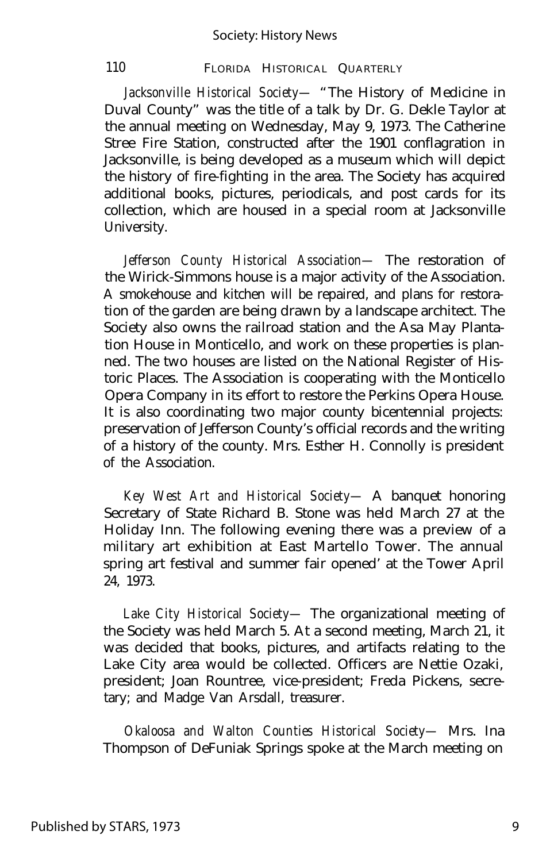*Jacksonville Historical Society—* "The History of Medicine in Duval County" was the title of a talk by Dr. G. Dekle Taylor at the annual meeting on Wednesday, May 9, 1973. The Catherine Stree Fire Station, constructed after the 1901 conflagration in Jacksonville, is being developed as a museum which will depict the history of fire-fighting in the area. The Society has acquired additional books, pictures, periodicals, and post cards for its collection, which are housed in a special room at Jacksonville University.

*Jefferson County Historical Association—* The restoration of the Wirick-Simmons house is a major activity of the Association. A smokehouse and kitchen will be repaired, and plans for restoration of the garden are being drawn by a landscape architect. The Society also owns the railroad station and the Asa May Plantation House in Monticello, and work on these properties is planned. The two houses are listed on the National Register of Historic Places. The Association is cooperating with the Monticello Opera Company in its effort to restore the Perkins Opera House. It is also coordinating two major county bicentennial projects: preservation of Jefferson County's official records and the writing of a history of the county. Mrs. Esther H. Connolly is president of the Association.

*Key West Art and Historical Society—* A banquet honoring Secretary of State Richard B. Stone was held March 27 at the Holiday Inn. The following evening there was a preview of a military art exhibition at East Martello Tower. The annual spring art festival and summer fair opened' at the Tower April 24, 1973.

*Lake City Historical Society—* The organizational meeting of the Society was held March 5. At a second meeting, March 21, it was decided that books, pictures, and artifacts relating to the Lake City area would be collected. Officers are Nettie Ozaki, president; Joan Rountree, vice-president; Freda Pickens, secretary; and Madge Van Arsdall, treasurer.

*Okaloosa and Walton Counties Historical Society—* Mrs. Ina Thompson of DeFuniak Springs spoke at the March meeting on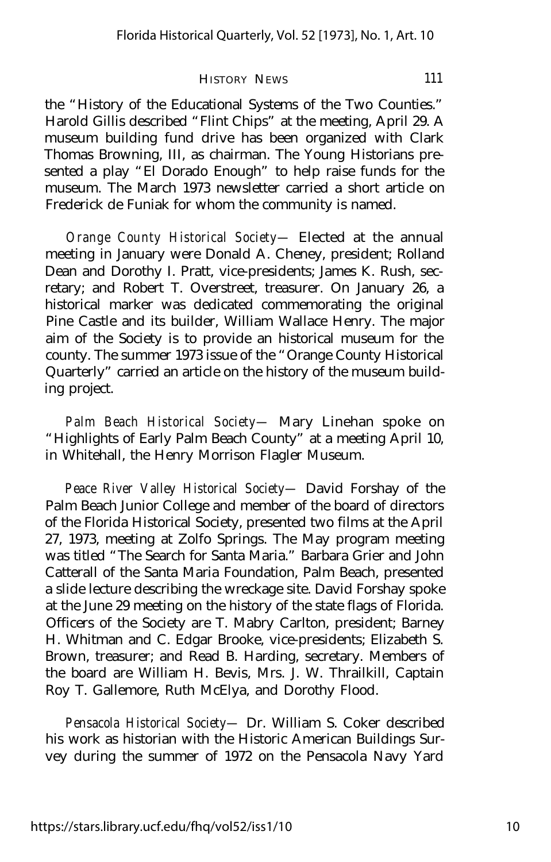the "History of the Educational Systems of the Two Counties." Harold Gillis described "Flint Chips" at the meeting, April 29. A museum building fund drive has been organized with Clark Thomas Browning, III, as chairman. The Young Historians presented a play "El Dorado Enough" to help raise funds for the museum. The March 1973 newsletter carried a short article on Frederick de Funiak for whom the community is named.

*Orange County Historical Society—* Elected at the annual meeting in January were Donald A. Cheney, president; Rolland Dean and Dorothy I. Pratt, vice-presidents; James K. Rush, secretary; and Robert T. Overstreet, treasurer. On January 26, a historical marker was dedicated commemorating the original Pine Castle and its builder, William Wallace Henry. The major aim of the Society is to provide an historical museum for the county. The summer 1973 issue of the "Orange County Historical Quarterly" carried an article on the history of the museum building project.

*Palm Beach Historical Society—* Mary Linehan spoke on "Highlights of Early Palm Beach County" at a meeting April 10, in Whitehall, the Henry Morrison Flagler Museum.

*Peace River Valley Historical Society—* David Forshay of the Palm Beach Junior College and member of the board of directors of the Florida Historical Society, presented two films at the April 27, 1973, meeting at Zolfo Springs. The May program meeting was titled "The Search for Santa Maria." Barbara Grier and John Catterall of the Santa Maria Foundation, Palm Beach, presented a slide lecture describing the wreckage site. David Forshay spoke at the June 29 meeting on the history of the state flags of Florida. Officers of the Society are T. Mabry Carlton, president; Barney H. Whitman and C. Edgar Brooke, vice-presidents; Elizabeth S. Brown, treasurer; and Read B. Harding, secretary. Members of the board are William H. Bevis, Mrs. J. W. Thrailkill, Captain Roy T. Gallemore, Ruth McElya, and Dorothy Flood.

*Pensacola Historical Society—* Dr. William S. Coker described his work as historian with the Historic American Buildings Survey during the summer of 1972 on the Pensacola Navy Yard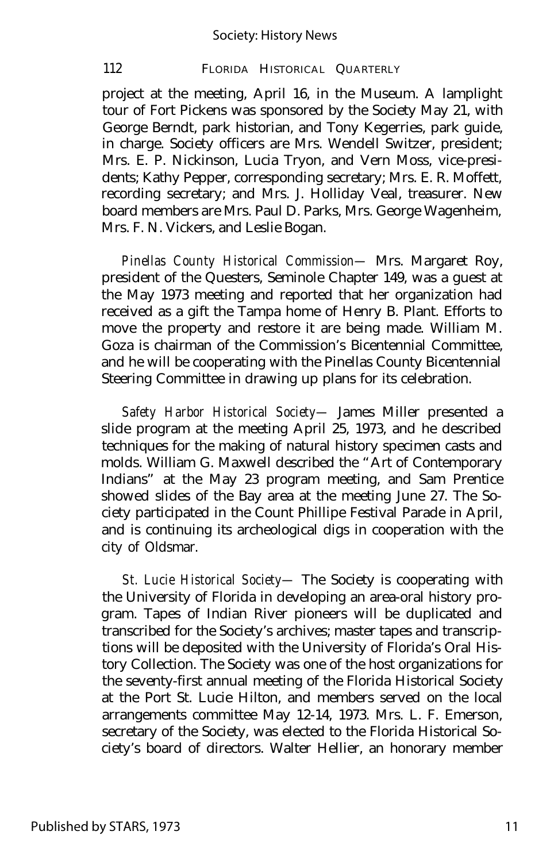project at the meeting, April 16, in the Museum. A lamplight tour of Fort Pickens was sponsored by the Society May 21, with George Berndt, park historian, and Tony Kegerries, park guide, in charge. Society officers are Mrs. Wendell Switzer, president; Mrs. E. P. Nickinson, Lucia Tryon, and Vern Moss, vice-presidents; Kathy Pepper, corresponding secretary; Mrs. E. R. Moffett, recording secretary; and Mrs. J. Holliday Veal, treasurer. New board members are Mrs. Paul D. Parks, Mrs. George Wagenheim, Mrs. F. N. Vickers, and Leslie Bogan.

*Pinellas County Historical Commission—* Mrs. Margaret Roy, president of the Questers, Seminole Chapter 149, was a guest at the May 1973 meeting and reported that her organization had received as a gift the Tampa home of Henry B. Plant. Efforts to move the property and restore it are being made. William M. Goza is chairman of the Commission's Bicentennial Committee, and he will be cooperating with the Pinellas County Bicentennial Steering Committee in drawing up plans for its celebration.

*Safety Harbor Historical Society—* James Miller presented a slide program at the meeting April 25, 1973, and he described techniques for the making of natural history specimen casts and molds. William G. Maxwell described the "Art of Contemporary Indians" at the May 23 program meeting, and Sam Prentice showed slides of the Bay area at the meeting June 27. The Society participated in the Count Phillipe Festival Parade in April, and is continuing its archeological digs in cooperation with the city of Oldsmar.

*St. Lucie Historical Society—* The Society is cooperating with the University of Florida in developing an area-oral history program. Tapes of Indian River pioneers will be duplicated and transcribed for the Society's archives; master tapes and transcriptions will be deposited with the University of Florida's Oral History Collection. The Society was one of the host organizations for the seventy-first annual meeting of the Florida Historical Society at the Port St. Lucie Hilton, and members served on the local arrangements committee May 12-14, 1973. Mrs. L. F. Emerson, secretary of the Society, was elected to the Florida Historical Society's board of directors. Walter Hellier, an honorary member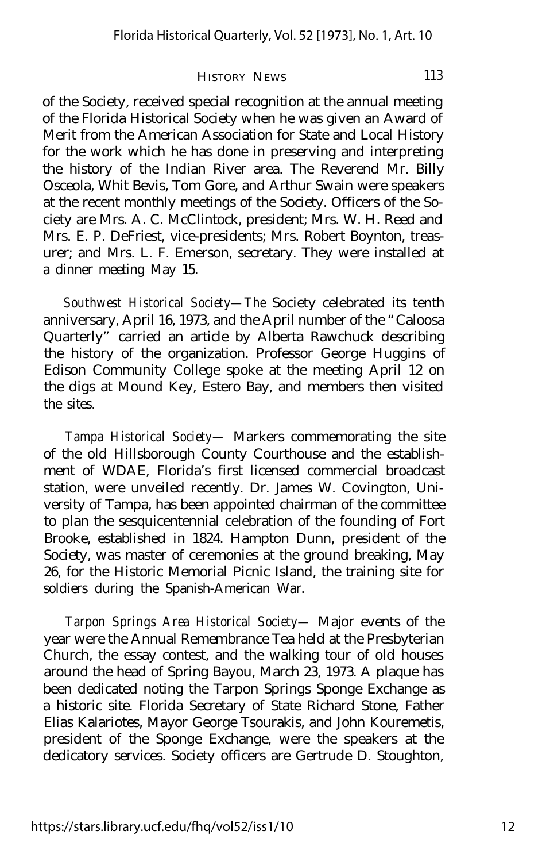of the Society, received special recognition at the annual meeting of the Florida Historical Society when he was given an Award of Merit from the American Association for State and Local History for the work which he has done in preserving and interpreting the history of the Indian River area. The Reverend Mr. Billy Osceola, Whit Bevis, Tom Gore, and Arthur Swain were speakers at the recent monthly meetings of the Society. Officers of the Society are Mrs. A. C. McClintock, president; Mrs. W. H. Reed and Mrs. E. P. DeFriest, vice-presidents; Mrs. Robert Boynton, treasurer; and Mrs. L. F. Emerson, secretary. They were installed at a dinner meeting May 15.

*Southwest Historical Society— The* Society celebrated its tenth anniversary, April 16, 1973, and the April number of the "Caloosa Quarterly" carried an article by Alberta Rawchuck describing the history of the organization. Professor George Huggins of Edison Community College spoke at the meeting April 12 on the digs at Mound Key, Estero Bay, and members then visited the sites.

*Tampa Historical Society—* Markers commemorating the site of the old Hillsborough County Courthouse and the establishment of WDAE, Florida's first licensed commercial broadcast station, were unveiled recently. Dr. James W. Covington, University of Tampa, has been appointed chairman of the committee to plan the sesquicentennial celebration of the founding of Fort Brooke, established in 1824. Hampton Dunn, president of the Society, was master of ceremonies at the ground breaking, May 26, for the Historic Memorial Picnic Island, the training site for soldiers during the Spanish-American War.

*Tarpon Springs Area Historical Society—* Major events of the year were the Annual Remembrance Tea held at the Presbyterian Church, the essay contest, and the walking tour of old houses around the head of Spring Bayou, March 23, 1973. A plaque has been dedicated noting the Tarpon Springs Sponge Exchange as a historic site. Florida Secretary of State Richard Stone, Father Elias Kalariotes, Mayor George Tsourakis, and John Kouremetis, president of the Sponge Exchange, were the speakers at the dedicatory services. Society officers are Gertrude D. Stoughton,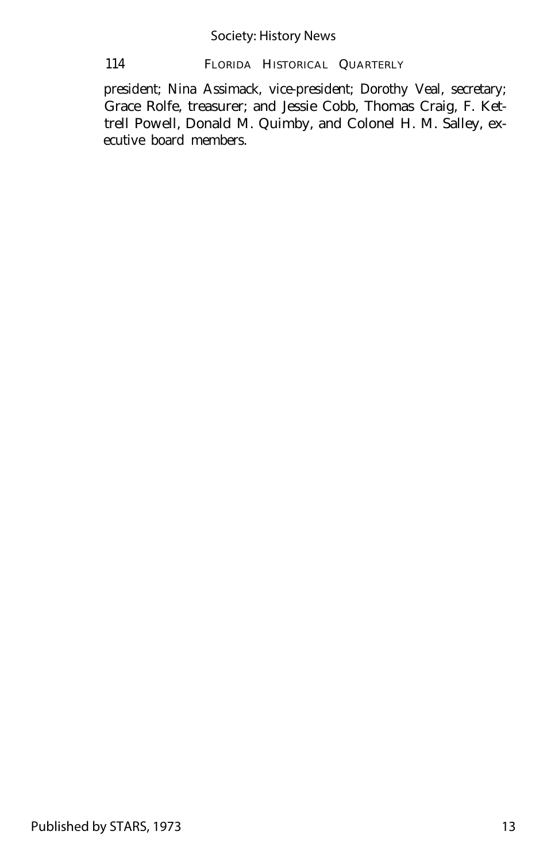president; Nina Assimack, vice-president; Dorothy Veal, secretary; Grace Rolfe, treasurer; and Jessie Cobb, Thomas Craig, F. Kettrell Powell, Donald M. Quimby, and Colonel H. M. Salley, executive board members.